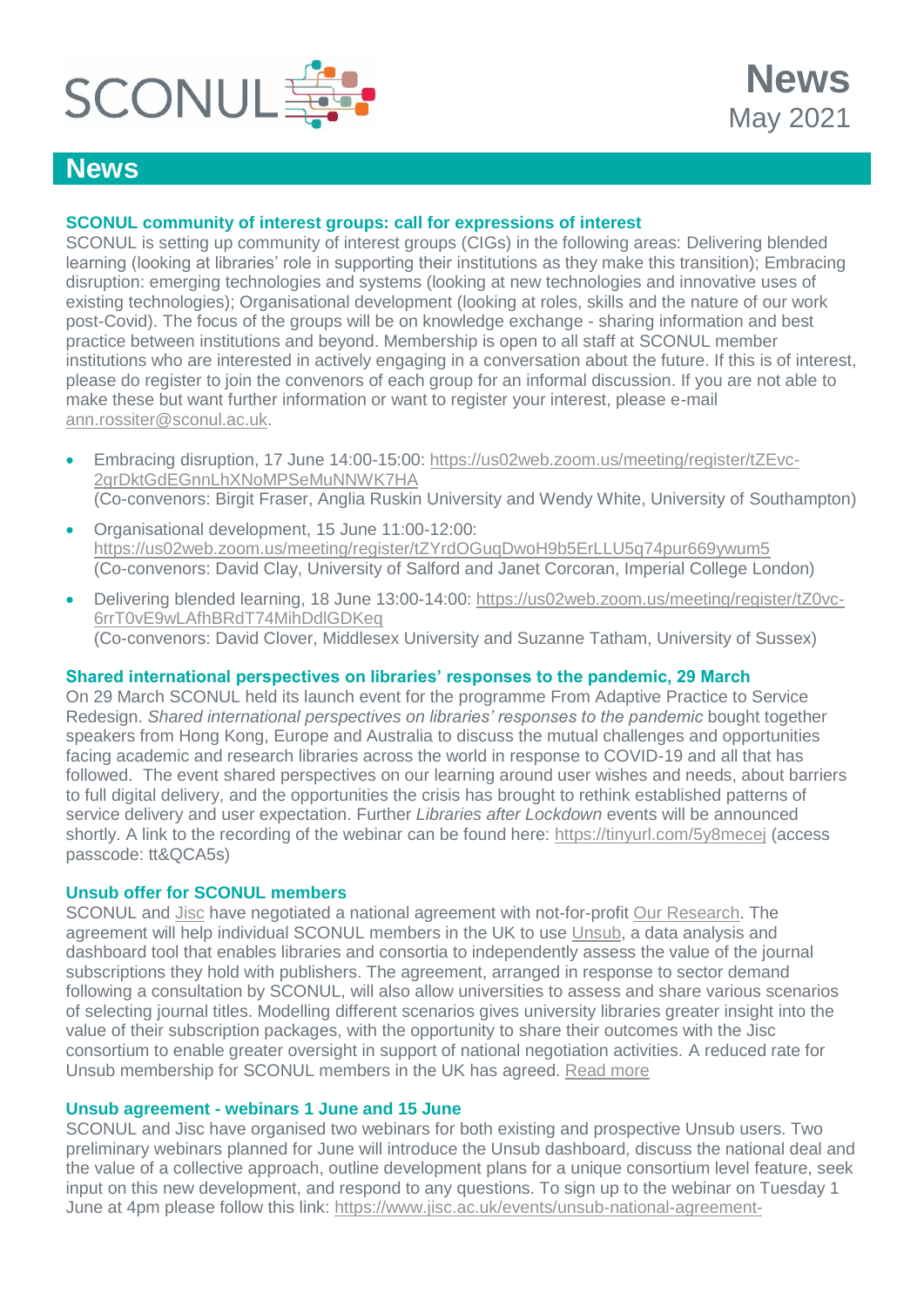

# **News**

# **SCONUL community of interest groups: call for expressions of interest**

SCONUL is setting up community of interest groups (CIGs) in the following areas: Delivering blended learning (looking at libraries' role in supporting their institutions as they make this transition); Embracing disruption: emerging technologies and systems (looking at new technologies and innovative uses of existing technologies); Organisational development (looking at roles, skills and the nature of our work post-Covid). The focus of the groups will be on knowledge exchange - sharing information and best practice between institutions and beyond. Membership is open to all staff at SCONUL member institutions who are interested in actively engaging in a conversation about the future. If this is of interest, please do register to join the convenors of each group for an informal discussion. If you are not able to make these but want further information or want to register your interest, please e-mail [ann.rossiter@sconul.ac.uk.](mailto:ann.rossiter@sconul.ac.uk)

- Embracing disruption, 17 June 14:00-15:00: [https://us02web.zoom.us/meeting/register/tZEvc-](https://us02web.zoom.us/meeting/register/tZEvc-2grDktGdEGnnLhXNoMPSeMuNNWK7HA)[2grDktGdEGnnLhXNoMPSeMuNNWK7HA](https://us02web.zoom.us/meeting/register/tZEvc-2grDktGdEGnnLhXNoMPSeMuNNWK7HA) (Co-convenors: Birgit Fraser, Anglia Ruskin University and Wendy White, University of Southampton)
- Organisational development, 15 June 11:00-12:00: <https://us02web.zoom.us/meeting/register/tZYrdOGuqDwoH9b5ErLLU5q74pur669ywum5> (Co-convenors: David Clay, University of Salford and Janet Corcoran, Imperial College London)
- Delivering blended learning, 18 June 13:00-14:00: [https://us02web.zoom.us/meeting/register/tZ0vc-](https://us02web.zoom.us/meeting/register/tZ0vc-6rrT0vE9wLAfhBRdT74MihDdlGDKeq)[6rrT0vE9wLAfhBRdT74MihDdlGDKeq](https://us02web.zoom.us/meeting/register/tZ0vc-6rrT0vE9wLAfhBRdT74MihDdlGDKeq) (Co-convenors: David Clover, Middlesex University and Suzanne Tatham, University of Sussex)

#### **Shared international perspectives on libraries' responses to the pandemic, 29 March**

On 29 March SCONUL held its launch event for the programme From Adaptive Practice to Service Redesign. *Shared international perspectives on libraries' responses to the pandemic* bought together speakers from Hong Kong, Europe and Australia to discuss the mutual challenges and opportunities facing academic and research libraries across the world in response to COVID-19 and all that has followed. The event shared perspectives on our learning around user wishes and needs, about barriers to full digital delivery, and the opportunities the crisis has brought to rethink established patterns of service delivery and user expectation. Further *Libraries after Lockdown* events will be announced shortly. A link to the recording of the webinar can be found here:<https://tinyurl.com/5y8mecej> (access passcode: tt&QCA5s)

#### **Unsub offer for SCONUL members**

SCONUL and [Jisc](https://www.jisc.ac.uk/) have negotiated a national agreement with not-for-profit [Our Research.](https://ourresearch.org/) The agreement will help individual SCONUL members in the UK to use [Unsub,](https://unsub.org/) a data analysis and dashboard tool that enables libraries and consortia to independently assess the value of the journal subscriptions they hold with publishers. The agreement, arranged in response to sector demand following a consultation by SCONUL, will also allow universities to assess and share various scenarios of selecting journal titles. Modelling different scenarios gives university libraries greater insight into the value of their subscription packages, with the opportunity to share their outcomes with the Jisc consortium to enable greater oversight in support of national negotiation activities. A reduced rate for Unsub membership for SCONUL members in the UK has agreed. [Read more](https://www.sconul.ac.uk/news/new-national-agreement-helps-uk-universities-evaluate-journal-agreements-with-publishers)

#### **Unsub agreement - webinars 1 June and 15 June**

SCONUL and Jisc have organised two webinars for both existing and prospective Unsub users. Two preliminary webinars planned for June will introduce the Unsub dashboard, discuss the national deal and the value of a collective approach, outline development plans for a unique consortium level feature, seek input on this new development, and respond to any questions. To sign up to the webinar on Tuesday 1 June at 4pm please follow this link: [https://www.jisc.ac.uk/events/unsub-national-agreement-](https://www.jisc.ac.uk/events/unsub-national-agreement-demonstration-01-jun-2021)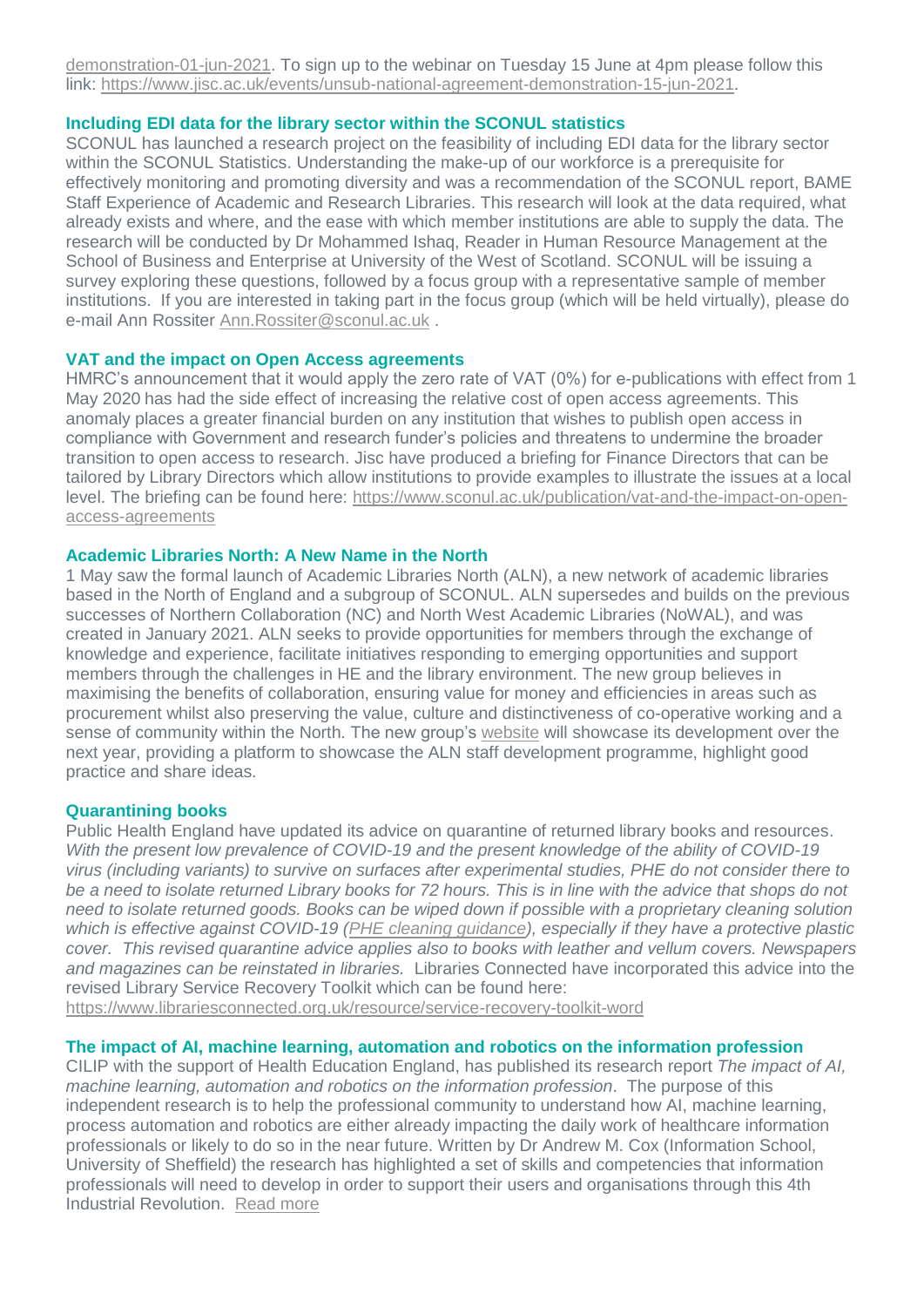[demonstration-01-jun-2021.](https://www.jisc.ac.uk/events/unsub-national-agreement-demonstration-01-jun-2021) To sign up to the webinar on Tuesday 15 June at 4pm please follow this link: [https://www.jisc.ac.uk/events/unsub-national-agreement-demonstration-15-jun-2021.](https://www.jisc.ac.uk/events/unsub-national-agreement-demonstration-15-jun-2021)

#### **Including EDI data for the library sector within the SCONUL statistics**

SCONUL has launched a research project on the feasibility of including EDI data for the library sector within the SCONUL Statistics. Understanding the make-up of our workforce is a prerequisite for effectively monitoring and promoting diversity and was a recommendation of the SCONUL report, BAME Staff Experience of Academic and Research Libraries. This research will look at the data required, what already exists and where, and the ease with which member institutions are able to supply the data. The research will be conducted by Dr Mohammed Ishaq, Reader in Human Resource Management at the School of Business and Enterprise at University of the West of Scotland. SCONUL will be issuing a survey exploring these questions, followed by a focus group with a representative sample of member institutions. If you are interested in taking part in the focus group (which will be held virtually), please do e-mail Ann Rossiter [Ann.Rossiter@sconul.ac.uk](mailto:Ann.Rossiter@sconul.ac.uk) .

#### **VAT and the impact on Open Access agreements**

HMRC's announcement that it would apply the zero rate of VAT (0%) for e-publications with effect from 1 May 2020 has had the side effect of increasing the relative cost of open access agreements. This anomaly places a greater financial burden on any institution that wishes to publish open access in compliance with Government and research funder's policies and threatens to undermine the broader transition to open access to research. Jisc have produced a briefing for Finance Directors that can be tailored by Library Directors which allow institutions to provide examples to illustrate the issues at a local level. The briefing can be found here: [https://www.sconul.ac.uk/publication/vat-and-the-impact-on-open](https://www.sconul.ac.uk/publication/vat-and-the-impact-on-open-access-agreements)[access-agreements](https://www.sconul.ac.uk/publication/vat-and-the-impact-on-open-access-agreements)

#### **Academic Libraries North: A New Name in the North**

1 May saw the formal launch of Academic Libraries North (ALN), a new network of academic libraries based in the North of England and a subgroup of SCONUL. ALN supersedes and builds on the previous successes of Northern Collaboration (NC) and North West Academic Libraries (NoWAL), and was created in January 2021. ALN seeks to provide opportunities for members through the exchange of knowledge and experience, facilitate initiatives responding to emerging opportunities and support members through the challenges in HE and the library environment. The new group believes in maximising the benefits of collaboration, ensuring value for money and efficiencies in areas such as procurement whilst also preserving the value, culture and distinctiveness of co-operative working and a sense of community within the North. The new group's [website](https://www.academiclibrariesnorth.ac.uk/) will showcase its development over the next year, providing a platform to showcase the ALN staff development programme, highlight good practice and share ideas.

#### **Quarantining books**

Public Health England have updated its advice on quarantine of returned library books and resources. *With the present low prevalence of COVID-19 and the present knowledge of the ability of COVID-19 virus (including variants) to survive on surfaces after experimental studies, PHE do not consider there to be a need to isolate returned Library books for 72 hours. This is in line with the advice that shops do not need to isolate returned goods. Books can be wiped down if possible with a proprietary cleaning solution which is effective against COVID-19 [\(PHE cleaning guidance\)](https://www.gov.uk/government/publications/covid-19-decontamination-in-non-healthcare-settings/covid-19-decontamination-in-non-healthcare-settings), especially if they have a protective plastic cover. This revised quarantine advice applies also to books with leather and vellum covers. Newspapers and magazines can be reinstated in libraries.* Libraries Connected have incorporated this advice into the revised Library Service Recovery Toolkit which can be found here:

<https://www.librariesconnected.org.uk/resource/service-recovery-toolkit-word>

### **The impact of AI, machine learning, automation and robotics on the information profession**

CILIP with the support of Health Education England, has published its research report *The impact of AI, machine learning, automation and robotics on the information profession*. The purpose of this independent research is to help the professional community to understand how AI, machine learning, process automation and robotics are either already impacting the daily work of healthcare information professionals or likely to do so in the near future. Written by Dr Andrew M. Cox (Information School, University of Sheffield) the research has highlighted a set of skills and competencies that information professionals will need to develop in order to support their users and organisations through this 4th Industrial Revolution. [Read more](https://www.cilip.org.uk/general/custom.asp?page=researchreport)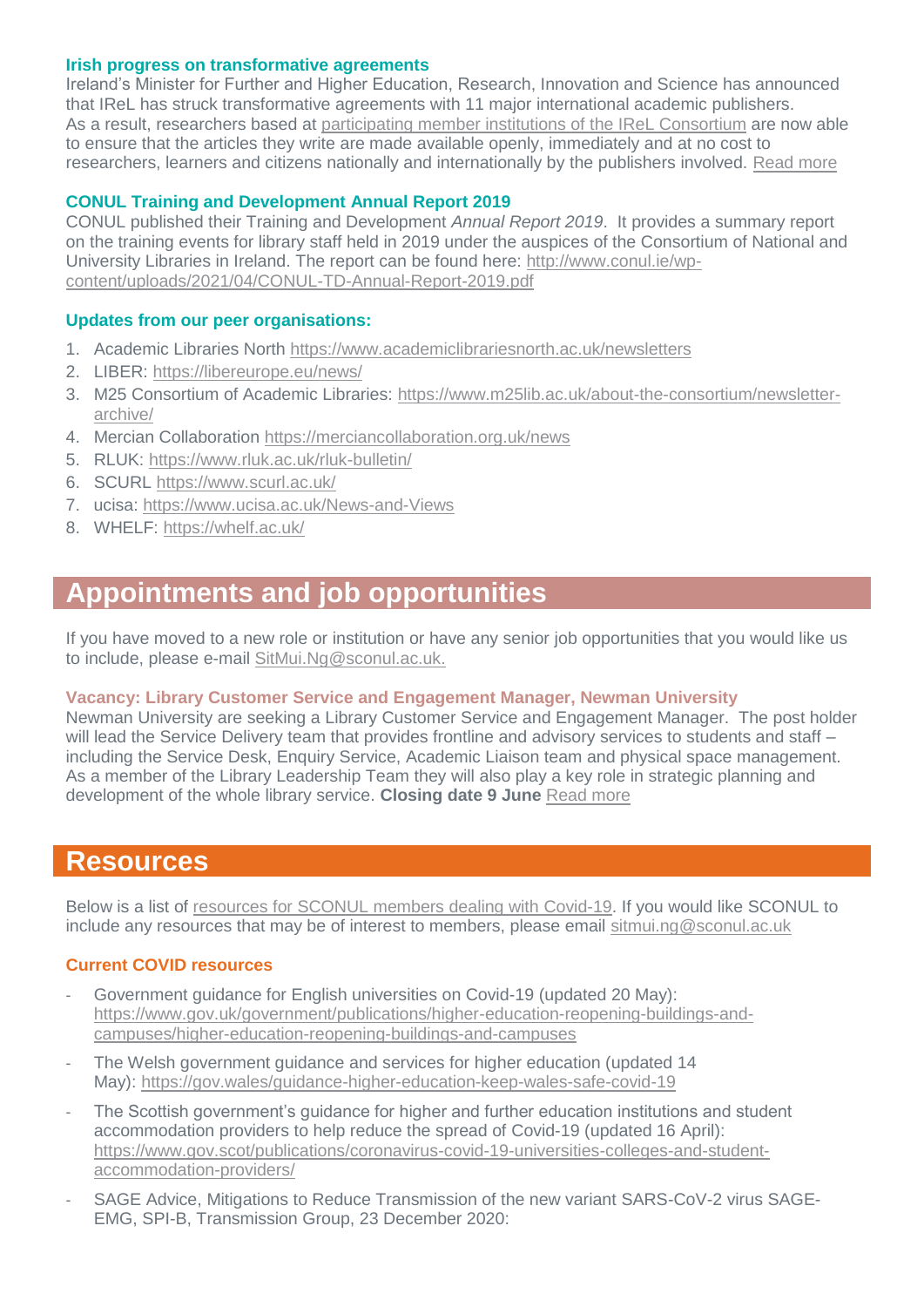#### **Irish progress on transformative agreements**

Ireland's Minister for Further and Higher Education, Research, Innovation and Science has announced that IReL has struck transformative agreements with 11 major international academic publishers. As a result, researchers based at [participating member institutions of the IReL Consortium](https://irel.ie/about-irel/) are now able to ensure that the articles they write are made available openly, immediately and at no cost to researchers, learners and citizens nationally and internationally by the publishers involved. [Read more](https://www.gov.ie/en/press-release/7d5a5-minister-harris-welcomes-a-landmark-development-in-open-access-research-that-will-benefit-researchers-students-and-citizens/)

# **CONUL Training and Development Annual Report 2019**

CONUL published their Training and Development *Annual Report 2019*. It provides a summary report on the training events for library staff held in 2019 under the auspices of the Consortium of National and University Libraries in Ireland. The report can be found here: [http://www.conul.ie/wp](http://www.conul.ie/wp-content/uploads/2021/04/CONUL-TD-Annual-Report-2019.pdf)[content/uploads/2021/04/CONUL-TD-Annual-Report-2019.pdf](http://www.conul.ie/wp-content/uploads/2021/04/CONUL-TD-Annual-Report-2019.pdf)

### **Updates from our peer organisations:**

- 1. Academic Libraries North<https://www.academiclibrariesnorth.ac.uk/newsletters>
- 2. LIBER:<https://libereurope.eu/news/>
- 3. M25 Consortium of Academic Libraries: [https://www.m25lib.ac.uk/about-the-consortium/newsletter](https://www.m25lib.ac.uk/about-the-consortium/newsletter-archive/)[archive/](https://www.m25lib.ac.uk/about-the-consortium/newsletter-archive/)
- 4. Mercian Collaboration <https://merciancollaboration.org.uk/news>
- 5. RLUK:<https://www.rluk.ac.uk/rluk-bulletin/>
- 6. SCURL<https://www.scurl.ac.uk/>
- 7. ucisa:<https://www.ucisa.ac.uk/News-and-Views>
- 8. WHELF:<https://whelf.ac.uk/>

# **Appointments and job opportunities**

If you have moved to a new role or institution or have any senior job opportunities that you would like us to include, please e-mail [SitMui.Ng@sconul.ac.uk.](mailto:SitMui.Ng@sconul.ac.uk)

#### **Vacancy: Library Customer Service and Engagement Manager, Newman University**

Newman University are seeking a Library Customer Service and Engagement Manager. The post holder will lead the Service Delivery team that provides frontline and advisory services to students and staff – including the Service Desk, Enquiry Service, Academic Liaison team and physical space management. As a member of the Library Leadership Team they will also play a key role in strategic planning and development of the whole library service. **Closing date 9 June** [Read more](https://www.newman.ac.uk/jobs/library-customer-service-and-engagement-manager/)

# **Resources**

Below is a list of [resources for SCONUL members dealing with Covid-19.](https://www.sconul.ac.uk/page/resources-for-sconul-members-dealing-with-covid-19) If you would like SCONUL to include any resources that may be of interest to members, please email [sitmui.ng@sconul.ac.uk](mailto:sitmui.ng@sconul.ac.uk)

# **Current COVID resources**

- Government guidance for English universities on Covid-19 (updated 20 May): [https://www.gov.uk/government/publications/higher-education-reopening-buildings-and](https://www.gov.uk/government/publications/higher-education-reopening-buildings-and-campuses/higher-education-reopening-buildings-and-campuses)[campuses/higher-education-reopening-buildings-and-campuses](https://www.gov.uk/government/publications/higher-education-reopening-buildings-and-campuses/higher-education-reopening-buildings-and-campuses)
- The Welsh government guidance and services for higher education (updated 14 May): <https://gov.wales/guidance-higher-education-keep-wales-safe-covid-19>
- The Scottish government's guidance for higher and further education institutions and student accommodation providers to help reduce the spread of Covid-19 (updated 16 April): [https://www.gov.scot/publications/coronavirus-covid-19-universities-colleges-and-student](https://www.gov.scot/publications/coronavirus-covid-19-universities-colleges-and-student-accommodation-providers/)[accommodation-providers/](https://www.gov.scot/publications/coronavirus-covid-19-universities-colleges-and-student-accommodation-providers/)
- SAGE Advice, Mitigations to Reduce Transmission of the new variant SARS-CoV-2 virus SAGE-EMG, SPI-B, Transmission Group, 23 December 2020: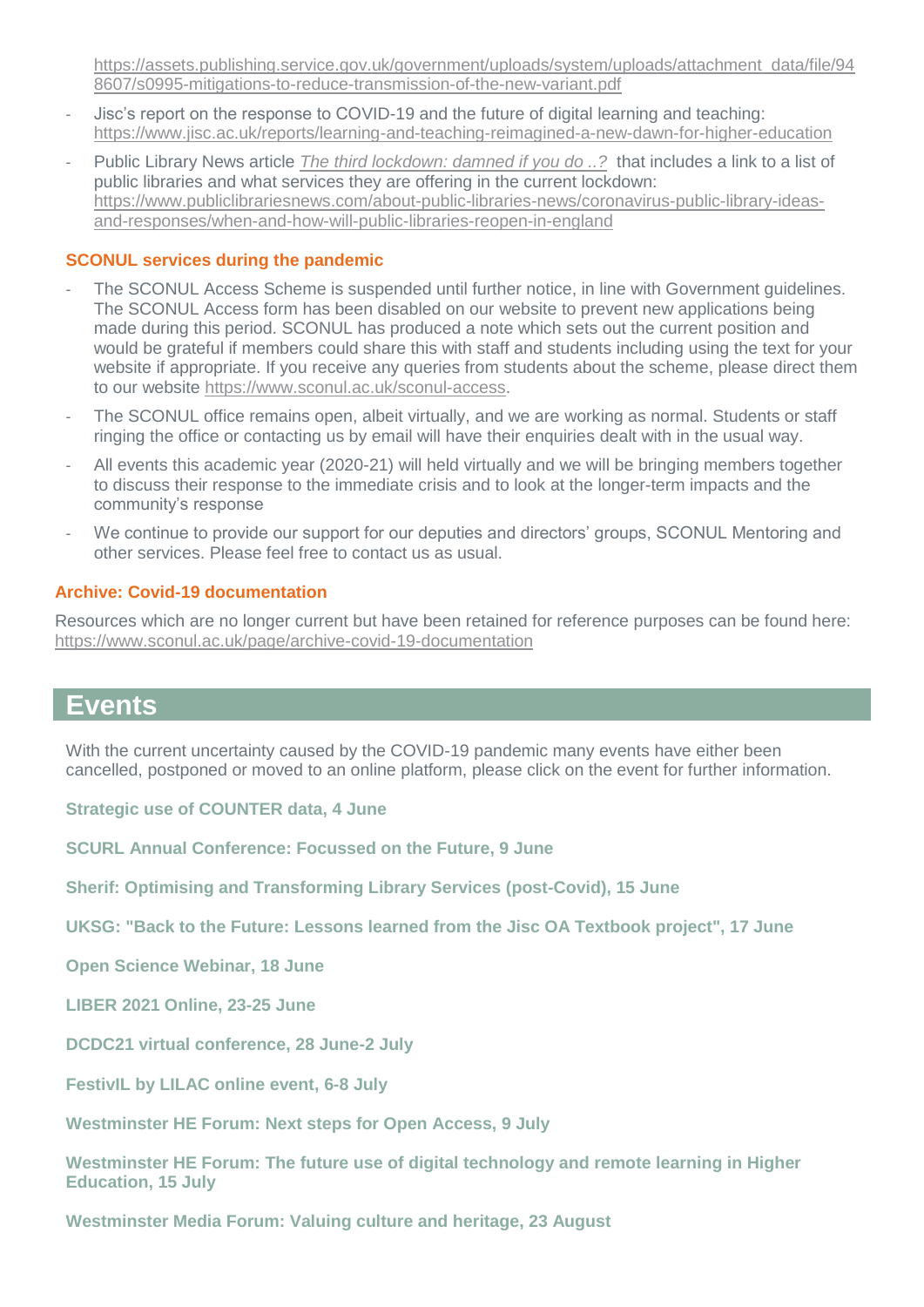[https://assets.publishing.service.gov.uk/government/uploads/system/uploads/attachment\\_data/file/94](https://assets.publishing.service.gov.uk/government/uploads/system/uploads/attachment_data/file/948607/s0995-mitigations-to-reduce-transmission-of-the-new-variant.pdf) [8607/s0995-mitigations-to-reduce-transmission-of-the-new-variant.pdf](https://assets.publishing.service.gov.uk/government/uploads/system/uploads/attachment_data/file/948607/s0995-mitigations-to-reduce-transmission-of-the-new-variant.pdf)

- Jisc's report on the response to COVID-19 and the future of digital learning and teaching: <https://www.jisc.ac.uk/reports/learning-and-teaching-reimagined-a-new-dawn-for-higher-education>
- Public Library News article *[The third lockdown: damned if you do ..?](https://www.publiclibrariesnews.com/)* that includes a link to a list of public libraries and what services they are offering in the current lockdown: [https://www.publiclibrariesnews.com/about-public-libraries-news/coronavirus-public-library-ideas](https://www.publiclibrariesnews.com/about-public-libraries-news/coronavirus-public-library-ideas-and-responses/when-and-how-will-public-libraries-reopen-in-england)[and-responses/when-and-how-will-public-libraries-reopen-in-england](https://www.publiclibrariesnews.com/about-public-libraries-news/coronavirus-public-library-ideas-and-responses/when-and-how-will-public-libraries-reopen-in-england)

### **SCONUL services during the pandemic**

- The SCONUL Access Scheme is suspended until further notice, in line with Government guidelines. The SCONUL Access form has been disabled on our website to prevent new applications being made during this period. SCONUL has produced a note which sets out the current position and would be grateful if members could share this with staff and students including using the text for your website if appropriate. If you receive any queries from students about the scheme, please direct them to our website [https://www.sconul.ac.uk/sconul-access.](https://www.sconul.ac.uk/sconul-access)
- The SCONUL office remains open, albeit virtually, and we are working as normal. Students or staff ringing the office or contacting us by email will have their enquiries dealt with in the usual way.
- All events this academic year (2020-21) will held virtually and we will be bringing members together to discuss their response to the immediate crisis and to look at the longer-term impacts and the community's response
- We continue to provide our support for our deputies and directors' groups, SCONUL Mentoring and other services. Please feel free to contact us as usual.

#### **Archive: Covid-19 documentation**

Resources which are no longer current but have been retained for reference purposes can be found here: <https://www.sconul.ac.uk/page/archive-covid-19-documentation>

# **Events**

With the current uncertainty caused by the COVID-19 pandemic many events have either been cancelled, postponed or moved to an online platform, please click on the event for further information.

**[Strategic use of COUNTER data, 4 June](https://www.eventbrite.co.uk/e/strategic-use-of-counter-data-tickets-154216879839)**

**[SCURL Annual Conference: Focussed on the Future, 9 June](https://www.scurl.ac.uk/events)**

**[Sherif: Optimising and Transforming Library Services \(post-Covid\), 15 June](http://www.sherif.ac.uk/events.html)**

**[UKSG: "Back to the Future: Lessons learned from the Jisc OA Textbook project", 17 June](https://www.uksg.org/event/free-uksg-webinar-back-future-lessons-learned-jisc-oa-textbook-project)**

**[Open Science Webinar, 18 June](https://www.focusopenscience.org/book/21stockholm/)**

**[LIBER 2021 Online, 23-25 June](https://liberconference.eu/)**

**[DCDC21 virtual conference, 28 June-2 July](https://dcdcconference.com/)** 

**FestivIL by LILAC online event, 6-8 July**

**[Westminster HE Forum: Next steps for Open Access, 9 July](https://www.westminsterforumprojects.co.uk/conference/open-access-21)**

**[Westminster HE Forum: The future use of digital technology and remote learning in Higher](https://www.westminsterforumprojects.co.uk/conference/Tech-in-HE-21)  [Education, 15 July](https://www.westminsterforumprojects.co.uk/conference/Tech-in-HE-21)**

**[Westminster Media Forum: Valuing culture and heritage, 23 August](https://www.westminsterforumprojects.co.uk/conference/Valuing-Culture-21)**